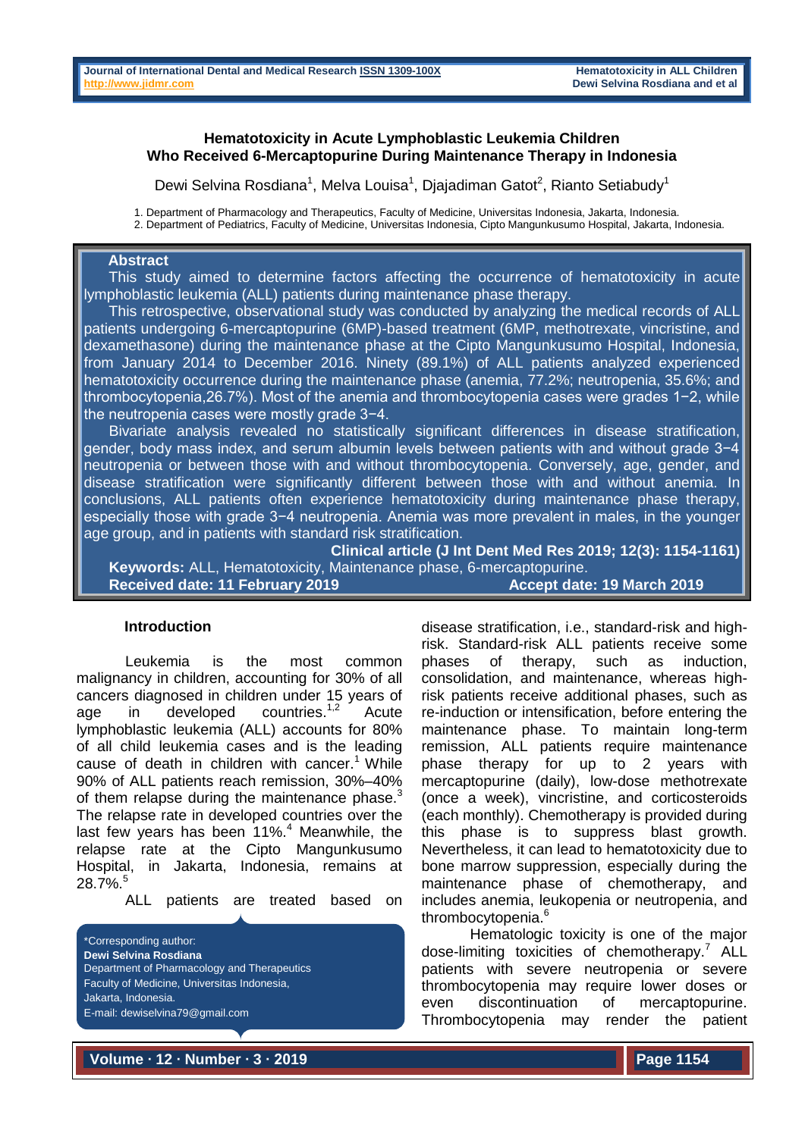### **Hematotoxicity in Acute Lymphoblastic Leukemia Children Who Received 6-Mercaptopurine During Maintenance Therapy in Indonesia**

Dewi Selvina Rosdiana<sup>1</sup>, Melva Louisa<sup>1</sup>, Djajadiman Gatot<sup>2</sup>, Rianto Setiabudy<sup>1</sup>

1. Department of Pharmacology and Therapeutics, Faculty of Medicine, Universitas Indonesia, Jakarta, Indonesia.

2. Department of Pediatrics, Faculty of Medicine, Universitas Indonesia, Cipto Mangunkusumo Hospital, Jakarta, Indonesia.

## **Abstract**

This study aimed to determine factors affecting the occurrence of hematotoxicity in acute lymphoblastic leukemia (ALL) patients during maintenance phase therapy.

 This retrospective, observational study was conducted by analyzing the medical records of ALL patients undergoing 6-mercaptopurine (6MP)-based treatment (6MP, methotrexate, vincristine, and dexamethasone) during the maintenance phase at the Cipto Mangunkusumo Hospital, Indonesia, from January 2014 to December 2016. Ninety (89.1%) of ALL patients analyzed experienced hematotoxicity occurrence during the maintenance phase (anemia, 77.2%; neutropenia, 35.6%; and thrombocytopenia,26.7%). Most of the anemia and thrombocytopenia cases were grades 1−2, while the neutropenia cases were mostly grade 3−4.

 Bivariate analysis revealed no statistically significant differences in disease stratification, gender, body mass index, and serum albumin levels between patients with and without grade 3−4 neutropenia or between those with and without thrombocytopenia. Conversely, age, gender, and disease stratification were significantly different between those with and without anemia. In conclusions, ALL patients often experience hematotoxicity during maintenance phase therapy, especially those with grade 3−4 neutropenia. Anemia was more prevalent in males, in the younger age group, and in patients with standard risk stratification.

**Clinical article (J Int Dent Med Res 2019; 12(3): 1154-1161) Keywords:** ALL, Hematotoxicity, Maintenance phase, 6-mercaptopurine. **Received date: 11 February 2019** Accept date: 19 March 2019

### **Introduction**

Leukemia is the most common malignancy in children, accounting for 30% of all cancers diagnosed in children under 15 years of age in developed countries.<sup>1,2</sup> **Acute** lymphoblastic leukemia (ALL) accounts for 80% of all child leukemia cases and is the leading cause of death in children with cancer.<sup>1</sup> While 90% of ALL patients reach remission, 30%–40% of them relapse during the maintenance phase. $3$ The relapse rate in developed countries over the last few years has been 11%.<sup>4</sup> Meanwhile, the relapse rate at the Cipto Mangunkusumo Hospital, in Jakarta, Indonesia, remains at 28.7%.<sup>5</sup>

ALL patients are treated based on

\*Corresponding author: **Dewi Selvina Rosdiana** Department of Pharmacology and Therapeutics Faculty of Medicine, Universitas Indonesia, Jakarta, Indonesia. E-mail: dewiselvina79@gmail.com

disease stratification, i.e., standard-risk and highrisk. Standard-risk ALL patients receive some phases of therapy, such as induction, consolidation, and maintenance, whereas highrisk patients receive additional phases, such as re-induction or intensification, before entering the maintenance phase. To maintain long-term remission, ALL patients require maintenance phase therapy for up to 2 years with mercaptopurine (daily), low-dose methotrexate (once a week), vincristine, and corticosteroids (each monthly). Chemotherapy is provided during this phase is to suppress blast growth. Nevertheless, it can lead to hematotoxicity due to bone marrow suppression, especially during the maintenance phase of chemotherapy, and includes anemia, leukopenia or neutropenia, and thrombocytopenia.<sup>6</sup>

Hematologic toxicity is one of the major dose-limiting toxicities of chemotherapy.<sup>7</sup> ALL patients with severe neutropenia or severe thrombocytopenia may require lower doses or even discontinuation of mercaptopurine. Thrombocytopenia may render the patient

**Volume ∙ 12 ∙ Number ∙ 3 ∙ 2019**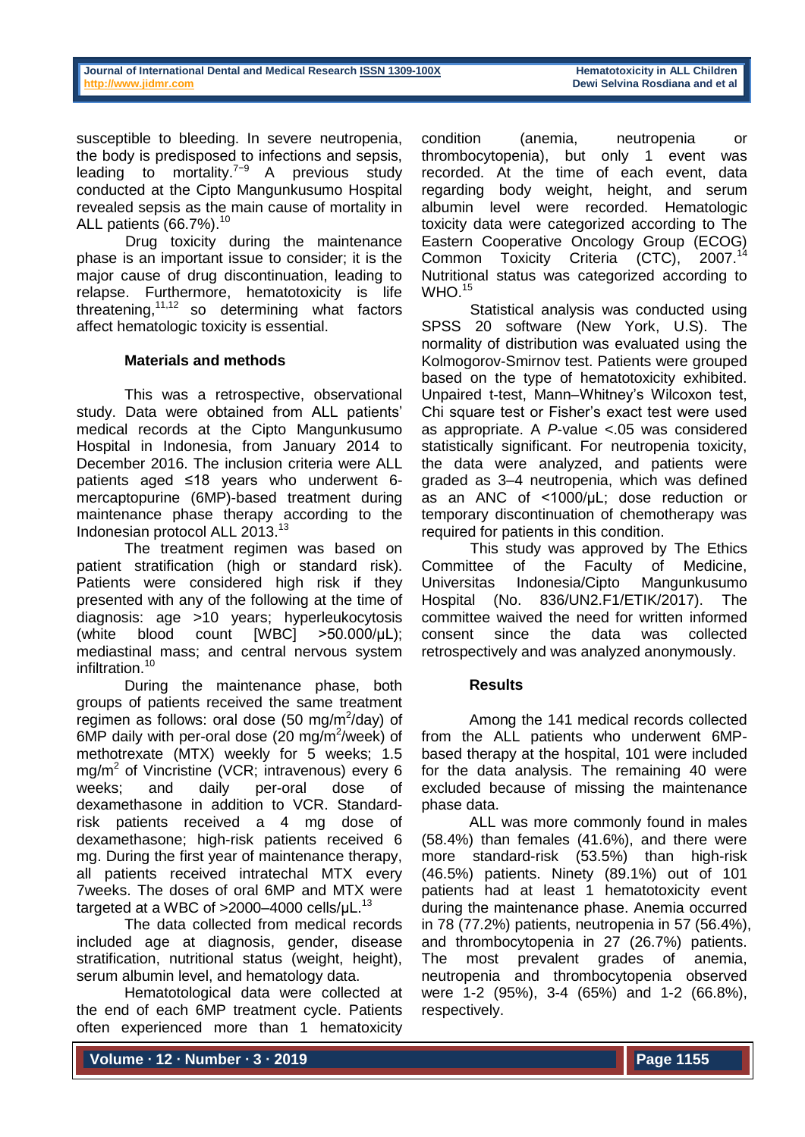susceptible to bleeding. In severe neutropenia, the body is predisposed to infections and sepsis, leading to mortality.7−9 A previous study conducted at the Cipto Mangunkusumo Hospital revealed sepsis as the main cause of mortality in ALL patients  $(66.7\%)$ .<sup>10</sup>

Drug toxicity during the maintenance phase is an important issue to consider; it is the major cause of drug discontinuation, leading to relapse. Furthermore, hematotoxicity is life threatening, $11,12$  so determining what factors affect hematologic toxicity is essential.

# **Materials and methods**

This was a retrospective, observational study. Data were obtained from ALL patients' medical records at the Cipto Mangunkusumo Hospital in Indonesia, from January 2014 to December 2016. The inclusion criteria were ALL patients aged ≤18 years who underwent 6 mercaptopurine (6MP)-based treatment during maintenance phase therapy according to the Indonesian protocol ALL 2013. 13

The treatment regimen was based on patient stratification (high or standard risk). Patients were considered high risk if they presented with any of the following at the time of diagnosis: age >10 years; hyperleukocytosis (white blood count [WBC] >50.000/µL); mediastinal mass; and central nervous system infiltration. 10

During the maintenance phase, both groups of patients received the same treatment regimen as follows: oral dose (50 mg/m $^2$ /day) of 6MP daily with per-oral dose (20 mg/m<sup>2</sup>/week) of methotrexate (MTX) weekly for 5 weeks; 1.5 mg/m<sup>2</sup> of Vincristine (VCR; intravenous) every 6 weeks; and daily per-oral dose of dexamethasone in addition to VCR. Standardrisk patients received a 4 mg dose of dexamethasone; high-risk patients received 6 mg. During the first year of maintenance therapy, all patients received intratechal MTX every 7weeks. The doses of oral 6MP and MTX were targeted at a WBC of >2000–4000 cells/µL.<sup>13</sup>

The data collected from medical records included age at diagnosis, gender, disease stratification, nutritional status (weight, height), serum albumin level, and hematology data.

Hematotological data were collected at the end of each 6MP treatment cycle. Patients often experienced more than 1 hematoxicity

condition (anemia, neutropenia or thrombocytopenia), but only 1 event was recorded. At the time of each event, data regarding body weight, height, and serum albumin level were recorded. Hematologic toxicity data were categorized according to The Eastern Cooperative Oncology Group (ECOG) Common Toxicity Criteria (CTC), 2007.<sup>14</sup> Nutritional status was categorized according to WHO.<sup>15</sup>

Statistical analysis was conducted using SPSS 20 software (New York, U.S). The normality of distribution was evaluated using the Kolmogorov-Smirnov test. Patients were grouped based on the type of hematotoxicity exhibited. Unpaired t-test, Mann–Whitney's Wilcoxon test, Chi square test or Fisher's exact test were used as appropriate. A *P*-value <.05 was considered statistically significant. For neutropenia toxicity, the data were analyzed, and patients were graded as 3–4 neutropenia, which was defined as an ANC of <1000/µL; dose reduction or temporary discontinuation of chemotherapy was required for patients in this condition.

This study was approved by The Ethics Committee of the Faculty of Medicine, Universitas Indonesia/Cipto Mangunkusumo Hospital (No. 836/UN2.F1/ETIK/2017). The committee waived the need for written informed consent since the data was collected retrospectively and was analyzed anonymously.

### **Results**

Among the 141 medical records collected from the ALL patients who underwent 6MPbased therapy at the hospital, 101 were included for the data analysis. The remaining 40 were excluded because of missing the maintenance phase data.

ALL was more commonly found in males (58.4%) than females (41.6%), and there were more standard-risk (53.5%) than high-risk (46.5%) patients. Ninety (89.1%) out of 101 patients had at least 1 hematotoxicity event during the maintenance phase. Anemia occurred in 78 (77.2%) patients, neutropenia in 57 (56.4%), and thrombocytopenia in 27 (26.7%) patients. The most prevalent grades of anemia, neutropenia and thrombocytopenia observed were 1-2 (95%), 3-4 (65%) and 1-2 (66.8%), respectively.

**Volume ∙ 12 ∙ Number ∙ 3 ∙ 2019**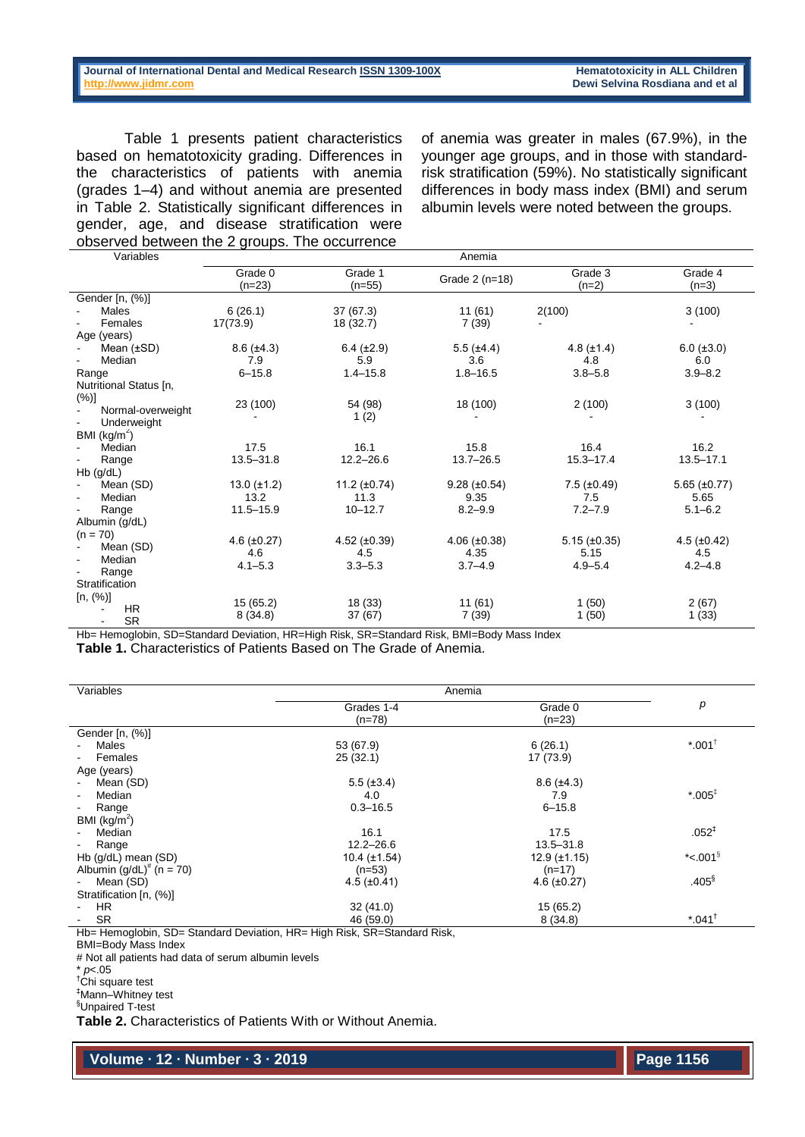Table 1 presents patient characteristics based on hematotoxicity grading. Differences in the characteristics of patients with anemia (grades 1–4) and without anemia are presented in Table 2. Statistically significant differences in gender, age, and disease stratification were observed between the 2 groups. The occurrence

of anemia was greater in males (67.9%), in the younger age groups, and in those with standardrisk stratification (59%). No statistically significant differences in body mass index (BMI) and serum albumin levels were noted between the groups.

| Variables                                   |                     |                        | Anemia              |                      |                      |
|---------------------------------------------|---------------------|------------------------|---------------------|----------------------|----------------------|
|                                             | Grade 0<br>$(n=23)$ | Grade 1<br>$(n=55)$    | Grade 2 (n=18)      | Grade 3<br>$(n=2)$   | Grade 4<br>$(n=3)$   |
| Gender [n, (%)]                             |                     |                        |                     |                      |                      |
| Males<br>Females                            | 6(26.1)<br>17(73.9) | 37 (67.3)<br>18 (32.7) | 11(61)<br>7(39)     | 2(100)               | 3(100)               |
| Age (years)                                 |                     |                        |                     |                      |                      |
| Mean (±SD)                                  | $8.6 (\pm 4.3)$     | $6.4 (\pm 2.9)$        | $5.5$ ( $\pm 4.4$ ) | $4.8 (\pm 1.4)$      | $6.0 (\pm 3.0)$      |
| Median                                      | 7.9                 | 5.9                    | 3.6                 | 4.8                  | 6.0                  |
| Range                                       | $6 - 15.8$          | $1.4 - 15.8$           | $1.8 - 16.5$        | $3.8 - 5.8$          | $3.9 - 8.2$          |
| Nutritional Status [n,                      |                     |                        |                     |                      |                      |
| $(\%)]$<br>Normal-overweight<br>Underweight | 23 (100)            | 54 (98)<br>1(2)        | 18 (100)            | 2(100)               | 3(100)               |
| BMI $(kg/m2)$                               |                     |                        |                     |                      |                      |
| Median                                      | 17.5                | 16.1                   | 15.8                | 16.4                 | 16.2                 |
| Range                                       | $13.5 - 31.8$       | $12.2 - 26.6$          | $13.7 - 26.5$       | $15.3 - 17.4$        | $13.5 - 17.1$        |
| $Hb$ (g/dL)                                 |                     |                        |                     |                      |                      |
| Mean (SD)                                   | 13.0 $(\pm 1.2)$    | 11.2 $(\pm 0.74)$      | $9.28 (\pm 0.54)$   | $7.5$ ( $\pm 0.49$ ) | $5.65 \ (\pm 0.77)$  |
| Median                                      | 13.2                | 11.3                   | 9.35                | 7.5                  | 5.65                 |
| Range                                       | $11.5 - 15.9$       | $10 - 12.7$            | $8.2 - 9.9$         | $7.2 - 7.9$          | $5.1 - 6.2$          |
| Albumin (g/dL)                              |                     |                        |                     |                      |                      |
| $(n = 70)$                                  | $4.6 \ (\pm 0.27)$  | 4.52 $(\pm 0.39)$      | 4.06 $(\pm 0.38)$   | $5.15 \ (\pm 0.35)$  | $4.5$ ( $\pm 0.42$ ) |
| Mean (SD)                                   | 4.6                 | 4.5                    | 4.35                | 5.15                 | 4.5                  |
| Median                                      | $4.1 - 5.3$         | $3.3 - 5.3$            | $3.7 - 4.9$         | $4.9 - 5.4$          | $4.2 - 4.8$          |
| Range                                       |                     |                        |                     |                      |                      |
| Stratification                              |                     |                        |                     |                      |                      |
| [n, (%)]                                    | 15(65.2)            | 18 (33)                | 11(61)              | 1(50)                | 2(67)                |
| <b>HR</b><br><b>SR</b>                      | 8(34.8)             | 37(67)                 | 7(39)               | 1(50)                | 1(33)                |

Hb= Hemoglobin, SD=Standard Deviation, HR=High Risk, SR=Standard Risk, BMI=Body Mass Index

**Table 1.** Characteristics of Patients Based on The Grade of Anemia.

| Variables                          | Anemia                 |                     |                       |
|------------------------------------|------------------------|---------------------|-----------------------|
|                                    | Grades 1-4<br>$(n=78)$ | Grade 0<br>$(n=23)$ | р                     |
| Gender [n, (%)]                    |                        |                     |                       |
| Males                              | 53 (67.9)              | 6(26.1)             | $*001$ <sup>+</sup>   |
| Females                            | 25(32.1)               | 17 (73.9)           |                       |
| Age (years)                        |                        |                     |                       |
| Mean (SD)                          | $5.5 (\pm 3.4)$        | $8.6 (\pm 4.3)$     |                       |
| Median<br>$\overline{\phantom{a}}$ | 4.0                    | 7.9                 | $*005^{\ddagger}$     |
| Range<br>$\blacksquare$            | $0.3 - 16.5$           | $6 - 15.8$          |                       |
| BMI $(kg/m^2)$                     |                        |                     |                       |
| Median                             | 16.1                   | 17.5                | $.052^{+}$            |
| Range<br>$\blacksquare$            | $12.2 - 26.6$          | $13.5 - 31.8$       |                       |
| Hb (g/dL) mean (SD)                | $10.4 (\pm 1.54)$      | $12.9 \ (\pm 1.15)$ | *<.001 $\overline{S}$ |
| Albumin $(g/dL)^*$ (n = 70)        | $(n=53)$               | $(n=17)$            |                       |
| Mean (SD)<br>$\blacksquare$        | $4.5 \ (\pm 0.41)$     | $4.6 \ (\pm 0.27)$  | $.405^{\$}$           |
| Stratification [n, (%)]            |                        |                     |                       |
| <b>HR</b>                          | 32(41.0)               | 15 (65.2)           |                       |
| <b>SR</b>                          | 46 (59.0)              | 8(34.8)             | $*.041^{\dagger}$     |

Hb= Hemoglobin, SD= Standard Deviation, HR= High Risk, SR=Standard Risk,

# Not all patients had data of serum albumin levels

\* *p*<.05

 $<sup>†</sup>$ Chi square test</sup>

‡Mann–Whitney test

**Table 2.** Characteristics of Patients With or Without Anemia.

**Volume ∙ 12 ∙ Number ∙ 3 ∙ 2019**

BMI=Body Mass Index

<sup>§</sup>Unpaired T-test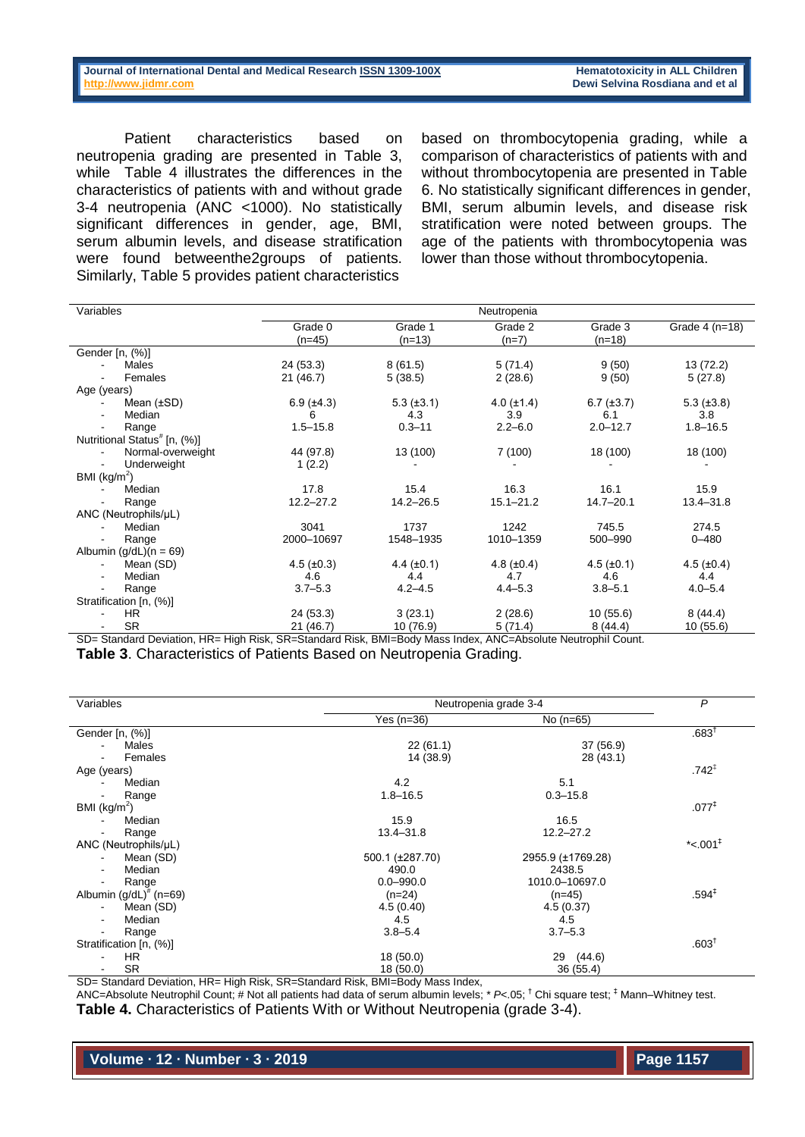Patient characteristics based on neutropenia grading are presented in Table 3, while Table 4 illustrates the differences in the characteristics of patients with and without grade 3-4 neutropenia (ANC <1000). No statistically significant differences in gender, age, BMI, serum albumin levels, and disease stratification were found betweenthe2groups of patients. Similarly, Table 5 provides patient characteristics

based on thrombocytopenia grading, while a comparison of characteristics of patients with and without thrombocytopenia are presented in Table 6. No statistically significant differences in gender, BMI, serum albumin levels, and disease risk stratification were noted between groups. The age of the patients with thrombocytopenia was lower than those without thrombocytopenia.

| Variables                                | Neutropenia       |                 |                 |                   |                   |
|------------------------------------------|-------------------|-----------------|-----------------|-------------------|-------------------|
|                                          | Grade 0           | Grade 1         | Grade 2         | Grade 3           | Grade $4$ (n=18)  |
|                                          | $(n=45)$          | $(n=13)$        | $(n=7)$         | $(n=18)$          |                   |
| Gender [n, (%)]                          |                   |                 |                 |                   |                   |
| Males                                    | 24 (53.3)         | 8(61.5)         | 5(71.4)         | 9(50)             | 13 (72.2)         |
| Females                                  | 21(46.7)          | 5(38.5)         | 2(28.6)         | 9(50)             | 5(27.8)           |
| Age (years)                              |                   |                 |                 |                   |                   |
| Mean $(\pm SD)$                          | $6.9 (\pm 4.3)$   | $5.3 (\pm 3.1)$ | $4.0 (\pm 1.4)$ | $6.7 (\pm 3.7)$   | $5.3 \ (\pm 3.8)$ |
| Median<br>$\blacksquare$                 | 6                 | 4.3             | 3.9             | 6.1               | 3.8               |
| Range                                    | $1.5 - 15.8$      | $0.3 - 11$      | $2.2 - 6.0$     | $2.0 - 12.7$      | $1.8 - 16.5$      |
| Nutritional Status <sup>#</sup> [n, (%)] |                   |                 |                 |                   |                   |
| Normal-overweight                        | 44 (97.8)         | 13 (100)        | 7(100)          | 18 (100)          | 18 (100)          |
| Underweight                              | 1(2.2)            |                 |                 |                   |                   |
| BMI (kg/m <sup>2</sup> )                 |                   |                 |                 |                   |                   |
| Median                                   | 17.8              | 15.4            | 16.3            | 16.1              | 15.9              |
| Range                                    | $12.2 - 27.2$     | $14.2 - 26.5$   | $15.1 - 21.2$   | $14.7 - 20.1$     | $13.4 - 31.8$     |
| ANC (Neutrophils/µL)                     |                   |                 |                 |                   |                   |
| Median                                   | 3041              | 1737            | 1242            | 745.5             | 274.5             |
| Range                                    | 2000-10697        | 1548-1935       | 1010-1359       | 500-990           | $0 - 480$         |
| Albumin $(g/dL)(n = 69)$                 |                   |                 |                 |                   |                   |
| Mean (SD)                                | $4.5 \ (\pm 0.3)$ | $4.4 (\pm 0.1)$ | $4.8 (\pm 0.4)$ | $4.5 \ (\pm 0.1)$ | $4.5 (\pm 0.4)$   |
| Median<br>$\blacksquare$                 | 4.6               | 4.4             | 4.7             | 4.6               | 4.4               |
| Range                                    | $3.7 - 5.3$       | $4.2 - 4.5$     | $4.4 - 5.3$     | $3.8 - 5.1$       | $4.0 - 5.4$       |
| Stratification [n, (%)]                  |                   |                 |                 |                   |                   |
| HR.                                      | 24 (53.3)         | 3(23.1)         | 2(28.6)         | 10(55.6)          | 8(44.4)           |
| <b>SR</b>                                | 21 (46.7)         | 10 (76.9)       | 5 (71.4)        | 8(44.4)           | 10(55.6)          |

SD= Standard Deviation, HR= High Risk, SR=Standard Risk, BMI=Body Mass Index, ANC=Absolute Neutrophil Count. **Table 3**. Characteristics of Patients Based on Neutropenia Grading.

| Variables                             | Neutropenia grade 3-4 | P                 |                         |
|---------------------------------------|-----------------------|-------------------|-------------------------|
|                                       | Yes (n=36)            | No $(n=65)$       |                         |
| Gender [n, (%)]                       |                       |                   | .683 <sup>†</sup>       |
| Males                                 | 22(61.1)              | 37 (56.9)         |                         |
| Females                               | 14 (38.9)             | 28 (43.1)         |                         |
| Age (years)                           |                       |                   | $.742^{+}$              |
| Median                                | 4.2                   | 5.1               |                         |
| Range                                 | $1.8 - 16.5$          | $0.3 - 15.8$      |                         |
| BMI $(kg/m^2)$                        |                       |                   | .077 <sup>‡</sup>       |
| Median                                | 15.9                  | 16.5              |                         |
| Range                                 | 13.4-31.8             | $12.2 - 27.2$     |                         |
| ANC (Neutrophils/µL)                  |                       |                   | * $< .001$ <sup>#</sup> |
| Mean (SD)<br>$\blacksquare$           | 500.1 (±287.70)       | 2955.9 (±1769.28) |                         |
| Median<br>$\blacksquare$              | 490.0                 | 2438.5            |                         |
| Range                                 | $0.0 - 990.0$         | 1010.0-10697.0    |                         |
| Albumin $(g/dL)^{#}$ (n=69)           | $(n=24)$              | $(n=45)$          | $.594^{\ddagger}$       |
| Mean (SD)<br>$\blacksquare$           | 4.5(0.40)             | 4.5(0.37)         |                         |
| Median<br>$\blacksquare$              | 4.5                   | 4.5               |                         |
| Range<br>$\overline{\phantom{0}}$     | $3.8 - 5.4$           | $3.7 - 5.3$       |                         |
| Stratification [n, (%)]               |                       |                   | .603 <sup>†</sup>       |
| HR                                    | 18 (50.0)             | 29 (44.6)         |                         |
| <b>SR</b><br>$\overline{\phantom{a}}$ | 18 (50.0)             | 36(55.4)          |                         |

SD= Standard Deviation, HR= High Risk, SR=Standard Risk, BMI=Body Mass Index,

ANC=Absolute Neutrophil Count; # Not all patients had data of serum albumin levels; \* *P*<.05; † Chi square test; ‡ Mann–Whitney test. **Table 4.** Characteristics of Patients With or Without Neutropenia (grade 3-4).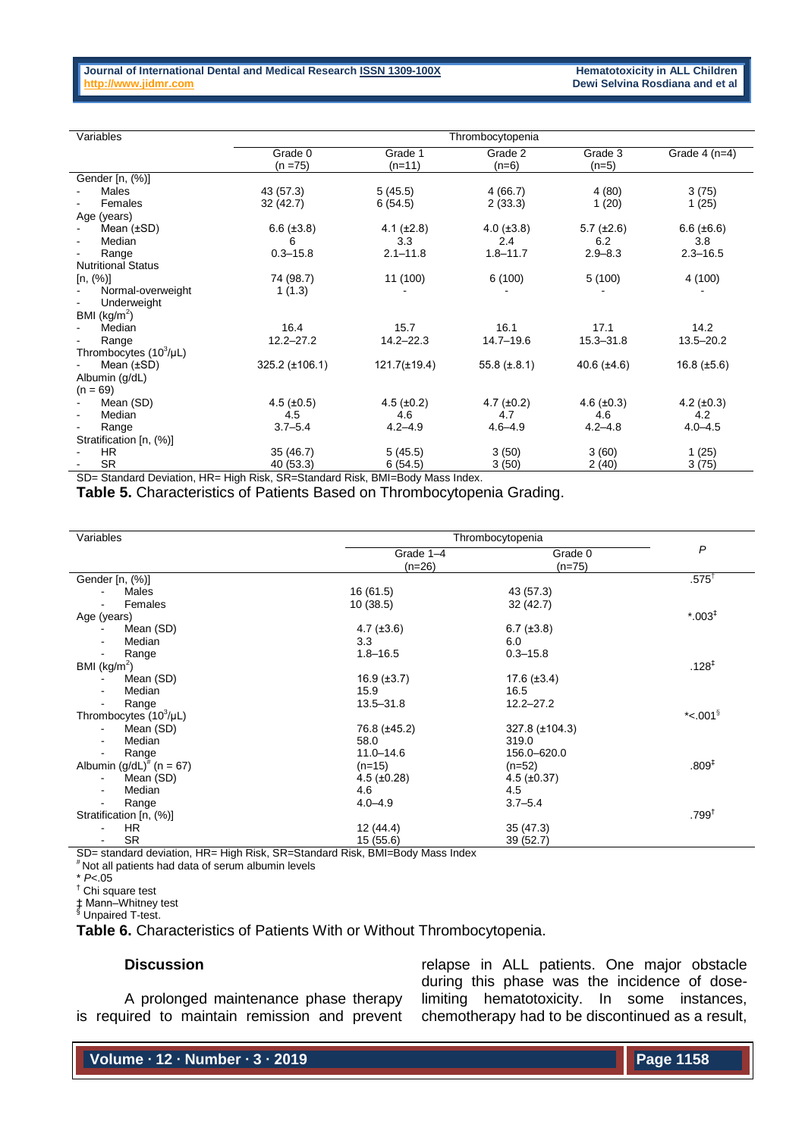| Variables                   | Thrombocytopenia           |                   |                   |                   |                    |
|-----------------------------|----------------------------|-------------------|-------------------|-------------------|--------------------|
|                             | Grade 0                    | Grade 1           | Grade 2           | Grade 3           | Grade $4$ (n=4)    |
|                             | $(n = 75)$                 | $(n=11)$          | $(n=6)$           | $(n=5)$           |                    |
| Gender [n, (%)]             |                            |                   |                   |                   |                    |
| Males                       | 43 (57.3)                  | 5(45.5)           | 4(66.7)           | 4(80)             | 3(75)              |
| Females                     | 32 (42.7)                  | 6(54.5)           | 2(33.3)           | 1(20)             | 1(25)              |
| Age (years)                 |                            |                   |                   |                   |                    |
| Mean $(\pm SD)$             | $6.6 (\pm 3.8)$            | $4.1 (\pm 2.8)$   | $4.0 (\pm 3.8)$   | $5.7 \ (\pm 2.6)$ | $6.6 (\pm 6.6)$    |
| Median                      | 6                          | 3.3               | 2.4               | 6.2               | 3.8                |
| Range                       | $0.3 - 15.8$               | $2.1 - 11.8$      | $1.8 - 11.7$      | $2.9 - 8.3$       | $2.3 - 16.5$       |
| <b>Nutritional Status</b>   |                            |                   |                   |                   |                    |
| [n, (%)]                    | 74 (98.7)                  | 11 (100)          | 6(100)            | 5(100)            | 4 (100)            |
| Normal-overweight           | 1(1.3)                     |                   |                   |                   |                    |
| Underweight                 |                            |                   |                   |                   |                    |
| BMI ( $kg/m2$ )             |                            |                   |                   |                   |                    |
| Median                      | 16.4                       | 15.7              | 16.1              | 17.1              | 14.2               |
| Range                       | $12.2 - 27.2$              | $14.2 - 22.3$     | $14.7 - 19.6$     | $15.3 - 31.8$     | $13.5 - 20.2$      |
| Thrombocytes $(10^3/\mu L)$ |                            |                   |                   |                   |                    |
| Mean $(\pm SD)$             | $325.2 (\pm 106.1)$        | $121.7(\pm 19.4)$ | 55.8 $(\pm .8.1)$ | 40.6 $(\pm 4.6)$  | $16.8 \ (\pm 5.6)$ |
| Albumin (g/dL)              |                            |                   |                   |                   |                    |
| $(n = 69)$                  |                            |                   |                   |                   |                    |
| Mean (SD)                   | $4.5 (\pm 0.5)$            | $4.5 (\pm 0.2)$   | $4.7 (\pm 0.2)$   | 4.6 $(\pm 0.3)$   | 4.2 $(\pm 0.3)$    |
| Median                      | 4.5                        | 4.6               | 4.7               | 4.6               | 4.2                |
| Range                       | $3.7 - 5.4$                | $4.2 - 4.9$       | $4.6 - 4.9$       | $4.2 - 4.8$       | $4.0 - 4.5$        |
| Stratification [n, (%)]     |                            |                   |                   |                   |                    |
| <b>HR</b>                   | 35(46.7)                   | 5(45.5)           | 3(50)             | 3(60)             | 1(25)              |
| <b>SR</b>                   | 40 (53.3)<br>$\sim$ $\sim$ | 6(54.5)           | 3(50)             | 2(40)             | 3(75)              |

SD= Standard Deviation, HR= High Risk, SR=Standard Risk, BMI=Body Mass Index.

**Table 5.** Characteristics of Patients Based on Thrombocytopenia Grading.

| Variables                                                                    | Thrombocytopenia      |                     |                   |
|------------------------------------------------------------------------------|-----------------------|---------------------|-------------------|
|                                                                              | Grade 1-4<br>$(n=26)$ | Grade 0<br>$(n=75)$ | $\mathsf{P}$      |
| Gender [n, (%)]                                                              |                       |                     | $.575^\top$       |
| Males                                                                        | 16(61.5)              | 43 (57.3)           |                   |
| Females                                                                      | 10(38.5)              | 32 (42.7)           |                   |
| Age (years)                                                                  |                       |                     | $*0.03^{+}$       |
| Mean (SD)                                                                    | 4.7 $(\pm 3.6)$       | $6.7 (\pm 3.8)$     |                   |
| Median<br>$\blacksquare$                                                     | 3.3                   | 6.0                 |                   |
| Range<br>$\blacksquare$                                                      | $1.8 - 16.5$          | $0.3 - 15.8$        |                   |
| BMI ( $kg/m2$ )                                                              |                       |                     | $.128^{1}$        |
| Mean (SD)                                                                    | $16.9 \ (\pm 3.7)$    | $17.6 (\pm 3.4)$    |                   |
| Median                                                                       | 15.9                  | 16.5                |                   |
| Range                                                                        | $13.5 - 31.8$         | $12.2 - 27.2$       |                   |
| Thrombocytes $(10^3/\mu L)$                                                  |                       |                     | *<.001 $\degree$  |
| Mean (SD)<br>$\sim$                                                          | 76.8 (±45.2)          | 327.8 (±104.3)      |                   |
| Median<br>$\blacksquare$                                                     | 58.0                  | 319.0               |                   |
| Range                                                                        | $11.0 - 14.6$         | 156.0-620.0         |                   |
| Albumin (g/dL) <sup>#</sup> (n = 67)                                         | $(n=15)$              | $(n=52)$            | .809 <sup>‡</sup> |
| Mean (SD)                                                                    | $4.5 \ (\pm 0.28)$    | $4.5 \ (\pm 0.37)$  |                   |
| Median<br>$\blacksquare$                                                     | 4.6                   | 4.5                 |                   |
| Range<br>$\blacksquare$                                                      | $4.0 - 4.9$           | $3.7 - 5.4$         |                   |
| Stratification [n, (%)]                                                      |                       |                     | $.799^{\dagger}$  |
| HR.                                                                          | 12(44.4)              | 35(47.3)            |                   |
| <b>SR</b>                                                                    | 15(55.6)              | 39(52.7)            |                   |
| CD- standard doviation, HD- High Biele CD-Ctandard Biele DMI-Rady Mass Indov |                       |                     |                   |

SD= standard deviation, HR= High Risk, SR=Standard Risk, BMI=Body Mass Index

# Not all patients had data of serum albumin levels

\* *P*<.05

† Chi square test

‡ Mann–Whitney test § Unpaired T-test.

**Table 6.** Characteristics of Patients With or Without Thrombocytopenia.

#### **Discussion**

A prolonged maintenance phase therapy is required to maintain remission and prevent relapse in ALL patients. One major obstacle during this phase was the incidence of doselimiting hematotoxicity. In some instances, chemotherapy had to be discontinued as a result,

**Volume ∙ 12 ∙ Number ∙ 3 ∙ 2019**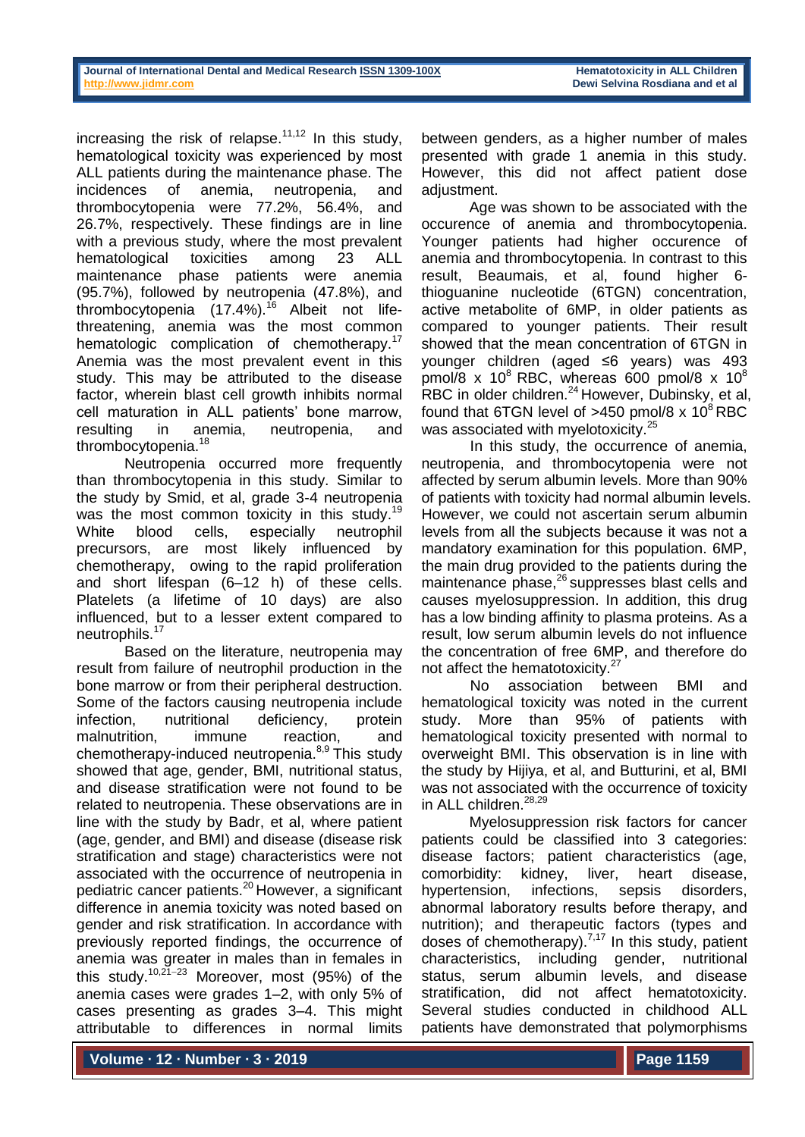increasing the risk of relapse.<sup>11,12</sup> In this study, hematological toxicity was experienced by most ALL patients during the maintenance phase. The incidences of anemia, neutropenia, and thrombocytopenia were 77.2%, 56.4%, and 26.7%, respectively. These findings are in line with a previous study, where the most prevalent hematological toxicities among 23 ALL maintenance phase patients were anemia (95.7%), followed by neutropenia (47.8%), and thrombocytopenia (17.4%).<sup>16</sup> Albeit not lifethreatening, anemia was the most common hematologic complication of chemotherapy.<sup>17</sup> Anemia was the most prevalent event in this study. This may be attributed to the disease factor, wherein blast cell growth inhibits normal cell maturation in ALL patients' bone marrow, resulting in anemia, neutropenia, and thrombocytopenia.<sup>18</sup>

Neutropenia occurred more frequently than thrombocytopenia in this study. Similar to the study by Smid, et al, grade 3-4 neutropenia was the most common toxicity in this study.<sup>19</sup> White blood cells, especially neutrophil precursors, are most likely influenced by chemotherapy, owing to the rapid proliferation and short lifespan (6–12 h) of these cells. Platelets (a lifetime of 10 days) are also influenced, but to a lesser extent compared to neutrophils.<sup>17</sup>

Based on the literature, neutropenia may result from failure of neutrophil production in the bone marrow or from their peripheral destruction. Some of the factors causing neutropenia include infection, nutritional deficiency, protein malnutrition, immune reaction, and chemotherapy-induced neutropenia.<sup>8,9</sup> This study showed that age, gender, BMI, nutritional status, and disease stratification were not found to be related to neutropenia. These observations are in line with the study by Badr, et al, where patient (age, gender, and BMI) and disease (disease risk stratification and stage) characteristics were not associated with the occurrence of neutropenia in pediatric cancer patients.<sup>20</sup> However, a significant difference in anemia toxicity was noted based on gender and risk stratification. In accordance with previously reported findings, the occurrence of anemia was greater in males than in females in this study.<sup>10,21-23</sup> Moreover, most (95%) of the anemia cases were grades 1–2, with only 5% of cases presenting as grades 3–4. This might attributable to differences in normal limits

between genders, as a higher number of males presented with grade 1 anemia in this study. However, this did not affect patient dose adiustment.

Age was shown to be associated with the occurence of anemia and thrombocytopenia. Younger patients had higher occurence of anemia and thrombocytopenia. In contrast to this result, Beaumais, et al, found higher 6 thioguanine nucleotide (6TGN) concentration, active metabolite of 6MP, in older patients as compared to younger patients. Their result showed that the mean concentration of 6TGN in younger children (aged ≤6 years) was 493  $p$ mol/8 x 10 $8$  RBC, whereas 600 pmol/8 x 10 $8$ RBC in older children.<sup>24</sup> However, Dubinsky, et al, found that 6TGN level of  $>450$  pmol/8 x  $10^8$  RBC was associated with myelotoxicity.<sup>25</sup>

In this study, the occurrence of anemia, neutropenia, and thrombocytopenia were not affected by serum albumin levels. More than 90% of patients with toxicity had normal albumin levels. However, we could not ascertain serum albumin levels from all the subjects because it was not a mandatory examination for this population. 6MP, the main drug provided to the patients during the maintenance phase,<sup>26</sup> suppresses blast cells and causes myelosuppression. In addition, this drug has a low binding affinity to plasma proteins. As a result, low serum albumin levels do not influence the concentration of free 6MP, and therefore do not affect the hematotoxicity.<sup>27</sup>

No association between BMI and hematological toxicity was noted in the current study. More than 95% of patients with hematological toxicity presented with normal to overweight BMI. This observation is in line with the study by Hijiya, et al, and Butturini, et al, BMI was not associated with the occurrence of toxicity in ALL children. $^{28,29}$ 

Myelosuppression risk factors for cancer patients could be classified into 3 categories: disease factors; patient characteristics (age, comorbidity: kidney, liver, heart disease, hypertension, infections, sepsis disorders, abnormal laboratory results before therapy, and nutrition); and therapeutic factors (types and doses of chemotherapy).<sup>7,17</sup> In this study, patient characteristics, including gender, nutritional status, serum albumin levels, and disease stratification, did not affect hematotoxicity. Several studies conducted in childhood ALL patients have demonstrated that polymorphisms

**Volume ∙ 12 ∙ Number ∙ 3 ∙ 2019**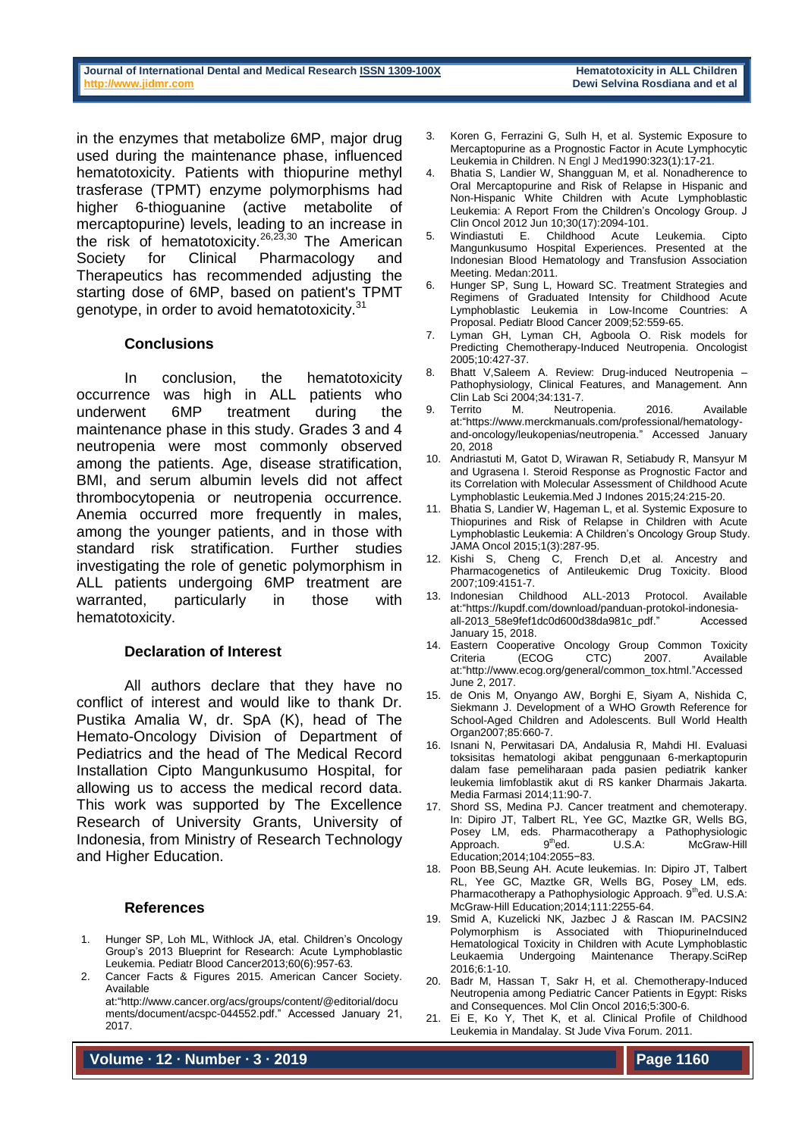in the enzymes that metabolize 6MP, major drug used during the maintenance phase, influenced hematotoxicity. Patients with thiopurine methyl trasferase (TPMT) enzyme polymorphisms had higher 6-thioguanine (active metabolite of mercaptopurine) levels, leading to an increase in the risk of hematotoxicity.<sup>26,23,30</sup> The American Society for Clinical Pharmacology and Therapeutics has recommended adjusting the starting dose of 6MP, based on patient's TPMT genotype, in order to avoid hematotoxicity.<sup>31</sup>

### **Conclusions**

In conclusion, the hematotoxicity occurrence was high in ALL patients who underwent 6MP treatment during the maintenance phase in this study. Grades 3 and 4 neutropenia were most commonly observed among the patients. Age, disease stratification, BMI, and serum albumin levels did not affect thrombocytopenia or neutropenia occurrence. Anemia occurred more frequently in males, among the younger patients, and in those with standard risk stratification. Further studies investigating the role of genetic polymorphism in ALL patients undergoing 6MP treatment are warranted, particularly in those with hematotoxicity.

#### **Declaration of Interest**

All authors declare that they have no conflict of interest and would like to thank Dr. Pustika Amalia W, dr. SpA (K), head of The Hemato-Oncology Division of Department of Pediatrics and the head of The Medical Record Installation Cipto Mangunkusumo Hospital, for allowing us to access the medical record data. This work was supported by The Excellence Research of University Grants, University of Indonesia, from Ministry of Research Technology and Higher Education.

#### **References**

- 1. Hunger SP, Loh ML, Withlock JA, etal. Children's Oncology Group's 2013 Blueprint for Research: Acute Lymphoblastic Leukemia. Pediatr Blood Cancer2013;60(6):957-63.
- 2. Cancer Facts & Figures 2015. American Cancer Society. Available

at:["http://www.cancer.org/acs/groups/content/@editorial/docu](http://www.cancer.org/acs/groups/content/@editorial/documents/document/acspc-044552.pdf) [ments/document/acspc-044552.pdf.](http://www.cancer.org/acs/groups/content/@editorial/documents/document/acspc-044552.pdf)" Accessed January 21, 2017.

**Volume ∙ 12 ∙ Number ∙ 3 ∙ 2019**

- 3. Koren G, Ferrazini G, Sulh H, et al. Systemic Exposure to Mercaptopurine as a Prognostic Factor in Acute Lymphocytic Leukemia in Children. N Engl J Med1990:323(1):17-21.
- 4. Bhatia S, Landier W, Shangguan M, et al. Nonadherence to Oral Mercaptopurine and Risk of Relapse in Hispanic and Non-Hispanic White Children with Acute Lymphoblastic Leukemia: A Report From the Children's Oncology Group. J Clin Oncol 2012 Jun 10;30(17):2094-101.
- 5. Windiastuti E. Childhood Acute Leukemia. Cipto Mangunkusumo Hospital Experiences. Presented at the Indonesian Blood Hematology and Transfusion Association Meeting. Medan:2011.
- 6. Hunger SP, Sung L, Howard SC. Treatment Strategies and Regimens of Graduated Intensity for Childhood Acute Lymphoblastic Leukemia in Low-Income Countries: A Proposal. Pediatr Blood Cancer 2009:52:559-65.
- 7. Lyman GH, Lyman CH, Agboola O. Risk models for Predicting Chemotherapy-Induced Neutropenia. Oncologist 2005;10:427-37.
- 8. Bhatt V,Saleem A. Review: Drug-induced Neutropenia Pathophysiology, Clinical Features, and Management. Ann Clin Lab Sci 2004;34:131-7.
- 9. Territo M. Neutropenia. 2016. Available at:"https://www.merckmanuals.com/professional/hematologyand-oncology/leukopenias/neutropenia." Accessed January 20, 2018
- 10. Andriastuti M, Gatot D, Wirawan R, Setiabudy R, Mansyur M and Ugrasena I. Steroid Response as Prognostic Factor and its Correlation with Molecular Assessment of Childhood Acute Lymphoblastic Leukemia.Med J Indones 2015;24:215-20.
- 11. Bhatia S, Landier W, Hageman L, et al. Systemic Exposure to Thiopurines and Risk of Relapse in Children with Acute Lymphoblastic Leukemia: A Children's Oncology Group Study. JAMA Oncol 2015;1(3):287-95.
- 12. Kishi S, Cheng C, French D,et al. Ancestry and Pharmacogenetics of Antileukemic Drug Toxicity. Blood 2007;109:4151-7.
- 13. Indonesian Childhood ALL-2013 Protocol. Available at[:"https://kupdf.com/download/panduan-protokol-indonesia](https://kupdf.com/download/panduan-protokol-indonesia-all-2013_58e9fef1dc0d600d38da981c_pdf)[all-2013\\_58e9fef1dc0d600d38da981c\\_pdf.](https://kupdf.com/download/panduan-protokol-indonesia-all-2013_58e9fef1dc0d600d38da981c_pdf)" Accessed January 15, 2018.
- 14. Eastern Cooperative Oncology Group Common Toxicity Criteria (ECOG CTC) 2007. Available at[:"http://www.ecog.org/general/common\\_tox.html.](http://www.ecog.org/general/common_tox.html)"Accessed June 2, 2017.
- 15. de Onis M, Onyango AW, Borghi E, Siyam A, Nishida C, Siekmann J. Development of a WHO Growth Reference for School-Aged Children and Adolescents. Bull World Health Organ2007;85:660-7.
- 16. Isnani N, Perwitasari DA, Andalusia R, Mahdi HI. Evaluasi toksisitas hematologi akibat penggunaan 6-merkaptopurin dalam fase pemeliharaan pada pasien pediatrik kanker leukemia limfoblastik akut di RS kanker Dharmais Jakarta. Media Farmasi 2014;11:90-7.
- 17. Shord SS, Medina PJ. Cancer treatment and chemoterapy. In: Dipiro JT, Talbert RL, Yee GC, Maztke GR, Wells BG, Posey LM, eds. Pharmacotherapy a Pathophysiologic Approach. 9<sup>th</sup>ed. U.S.A: McGraw-Hill Education;2014;104:2055−83.
- 18. Poon BB,Seung AH. Acute leukemias. In: Dipiro JT, Talbert RL, Yee GC, Maztke GR, Wells BG, Posey LM, eds. Pharmacotherapy a Pathophysiologic Approach. 9thed. U.S.A: McGraw-Hill Education;2014;111:2255-64.
- 19. Smid A, Kuzelicki NK, Jazbec J & Rascan IM. PACSIN2 Polymorphism is Associated with ThiopurineInduced Hematological Toxicity in Children with Acute Lymphoblastic Leukaemia Undergoing Maintenance 2016;6:1-10.
- 20. Badr M, Hassan T, Sakr H, et al. Chemotherapy-Induced Neutropenia among Pediatric Cancer Patients in Egypt: Risks and Consequences. Mol Clin Oncol 2016;5:300-6.
- 21. Ei E, Ko Y, Thet K, et al. Clinical Profile of Childhood Leukemia in Mandalay. St Jude Viva Forum. 2011.

**Page 1160**